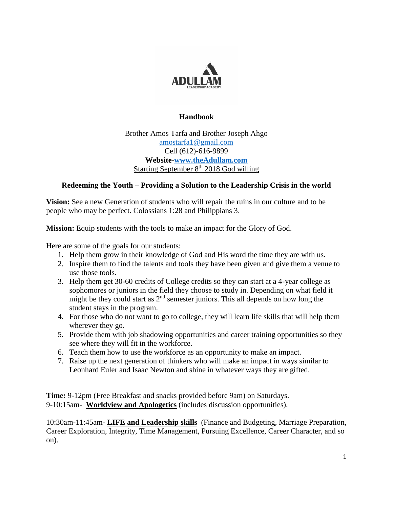

# **Handbook**

Brother Amos Tarfa and Brother Joseph Ahgo [amostarfa1@gmail.com](mailto:amostarfa1@gmail.com) Cell (612)-616-9899 **Website[-www.theAdullam.com](http://www.theadullam.com/)** Starting September 8<sup>th</sup> 2018 God willing

# **Redeeming the Youth – Providing a Solution to the Leadership Crisis in the world**

**Vision:** See a new Generation of students who will repair the ruins in our culture and to be people who may be perfect. Colossians 1:28 and Philippians 3.

**Mission:** Equip students with the tools to make an impact for the Glory of God.

Here are some of the goals for our students:

- 1. Help them grow in their knowledge of God and His word the time they are with us.
- 2. Inspire them to find the talents and tools they have been given and give them a venue to use those tools.
- 3. Help them get 30-60 credits of College credits so they can start at a 4-year college as sophomores or juniors in the field they choose to study in. Depending on what field it might be they could start as  $2<sup>nd</sup>$  semester juniors. This all depends on how long the student stays in the program.
- 4. For those who do not want to go to college, they will learn life skills that will help them wherever they go.
- 5. Provide them with job shadowing opportunities and career training opportunities so they see where they will fit in the workforce.
- 6. Teach them how to use the workforce as an opportunity to make an impact.
- 7. Raise up the next generation of thinkers who will make an impact in ways similar to Leonhard Euler and Isaac Newton and shine in whatever ways they are gifted.

**Time:** 9-12pm (Free Breakfast and snacks provided before 9am) on Saturdays. 9-10:15am- **Worldview and Apologetics** (includes discussion opportunities).

10:30am-11:45am- **LIFE and Leadership skills** (Finance and Budgeting, Marriage Preparation, Career Exploration, Integrity, Time Management, Pursuing Excellence, Career Character, and so on).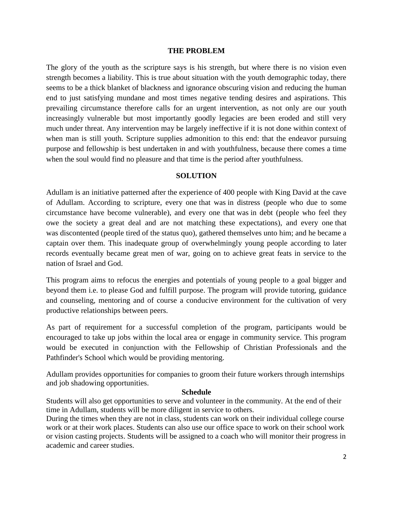#### **THE PROBLEM**

The glory of the youth as the scripture says is his strength, but where there is no vision even strength becomes a liability. This is true about situation with the youth demographic today, there seems to be a thick blanket of blackness and ignorance obscuring vision and reducing the human end to just satisfying mundane and most times negative tending desires and aspirations. This prevailing circumstance therefore calls for an urgent intervention, as not only are our youth increasingly vulnerable but most importantly goodly legacies are been eroded and still very much under threat. Any intervention may be largely ineffective if it is not done within context of when man is still youth. Scripture supplies admonition to this end: that the endeavor pursuing purpose and fellowship is best undertaken in and with youthfulness, because there comes a time when the soul would find no pleasure and that time is the period after youthfulness.

#### **SOLUTION**

Adullam is an initiative patterned after the experience of 400 people with King David at the cave of Adullam. According to scripture, every one that was in distress (people who due to some circumstance have become vulnerable), and every one that was in debt (people who feel they owe the society a great deal and are not matching these expectations), and every one that was discontented (people tired of the status quo), gathered themselves unto him; and he became a captain over them. This inadequate group of overwhelmingly young people according to later records eventually became great men of war, going on to achieve great feats in service to the nation of Israel and God.

This program aims to refocus the energies and potentials of young people to a goal bigger and beyond them i.e. to please God and fulfill purpose. The program will provide tutoring, guidance and counseling, mentoring and of course a conducive environment for the cultivation of very productive relationships between peers.

As part of requirement for a successful completion of the program, participants would be encouraged to take up jobs within the local area or engage in community service. This program would be executed in conjunction with the Fellowship of Christian Professionals and the Pathfinder's School which would be providing mentoring.

Adullam provides opportunities for companies to groom their future workers through internships and job shadowing opportunities.

#### **Schedule**

Students will also get opportunities to serve and volunteer in the community. At the end of their time in Adullam, students will be more diligent in service to others.

During the times when they are not in class, students can work on their individual college course work or at their work places. Students can also use our office space to work on their school work or vision casting projects. Students will be assigned to a coach who will monitor their progress in academic and career studies.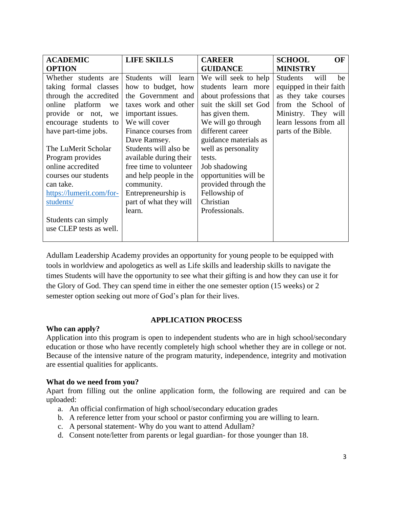| <b>ACADEMIC</b>          | <b>LIFE SKILLS</b>            | <b>CAREER</b>          | <b>SCHOOL</b><br>OF           |
|--------------------------|-------------------------------|------------------------|-------------------------------|
| <b>OPTION</b>            |                               | <b>GUIDANCE</b>        | <b>MINISTRY</b>               |
| Whether students are     | <b>Students</b><br>will learn | We will seek to help   | <b>Students</b><br>will<br>be |
| taking formal classes    | how to budget, how            | students learn more    | equipped in their faith       |
| through the accredited   | the Government and            | about professions that | as they take courses          |
| platform<br>online<br>we | taxes work and other          | suit the skill set God | from the School of            |
| provide or not,<br>we    | important issues.             | has given them.        | Ministry. They will           |
| encourage students to    | We will cover                 | We will go through     | learn lessons from all        |
| have part-time jobs.     | Finance courses from          | different career       | parts of the Bible.           |
|                          | Dave Ramsey.                  | guidance materials as  |                               |
| The LuMerit Scholar      | Students will also be         | well as personality    |                               |
| Program provides         | available during their        | tests.                 |                               |
| online accredited        | free time to volunteer        | Job shadowing          |                               |
| courses our students     | and help people in the        | opportunities will be  |                               |
| can take.                | community.                    | provided through the   |                               |
| https://lumerit.com/for- | Entrepreneurship is           | Fellowship of          |                               |
| students/                | part of what they will        | Christian              |                               |
|                          | learn.                        | Professionals.         |                               |
| Students can simply      |                               |                        |                               |
| use CLEP tests as well.  |                               |                        |                               |
|                          |                               |                        |                               |

Adullam Leadership Academy provides an opportunity for young people to be equipped with tools in worldview and apologetics as well as Life skills and leadership skills to navigate the times Students will have the opportunity to see what their gifting is and how they can use it for the Glory of God. They can spend time in either the one semester option (15 weeks) or 2 semester option seeking out more of God's plan for their lives.

### **Who can apply?**

### **APPLICATION PROCESS**

Application into this program is open to independent students who are in high school/secondary education or those who have recently completely high school whether they are in college or not. Because of the intensive nature of the program maturity, independence, integrity and motivation are essential qualities for applicants.

# **What do we need from you?**

Apart from filling out the online application form, the following are required and can be uploaded:

- a. An official confirmation of high school/secondary education grades
- b. A reference letter from your school or pastor confirming you are willing to learn.
- c. A personal statement- Why do you want to attend Adullam?
- d. Consent note/letter from parents or legal guardian- for those younger than 18.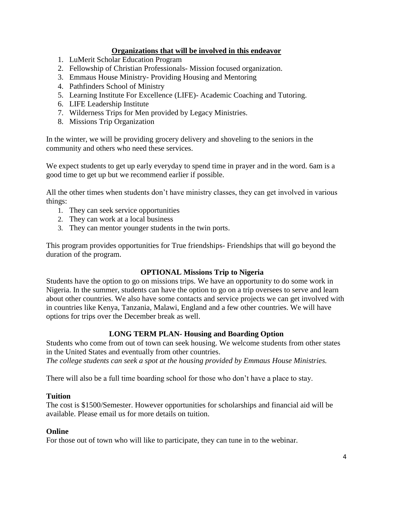# **Organizations that will be involved in this endeavor**

- 1. LuMerit Scholar Education Program
- 2. Fellowship of Christian Professionals- Mission focused organization.
- 3. Emmaus House Ministry- Providing Housing and Mentoring
- 4. Pathfinders School of Ministry
- 5. Learning Institute For Excellence (LIFE)- Academic Coaching and Tutoring.
- 6. LIFE Leadership Institute
- 7. Wilderness Trips for Men provided by Legacy Ministries.
- 8. Missions Trip Organization

In the winter, we will be providing grocery delivery and shoveling to the seniors in the community and others who need these services.

We expect students to get up early everyday to spend time in prayer and in the word. 6am is a good time to get up but we recommend earlier if possible.

All the other times when students don't have ministry classes, they can get involved in various things:

- 1. They can seek service opportunities
- 2. They can work at a local business
- 3. They can mentor younger students in the twin ports.

This program provides opportunities for True friendships- Friendships that will go beyond the duration of the program.

### **OPTIONAL Missions Trip to Nigeria**

Students have the option to go on missions trips. We have an opportunity to do some work in Nigeria. In the summer, students can have the option to go on a trip oversees to serve and learn about other countries. We also have some contacts and service projects we can get involved with in countries like Kenya, Tanzania, Malawi, England and a few other countries. We will have options for trips over the December break as well.

# **LONG TERM PLAN- Housing and Boarding Option**

Students who come from out of town can seek housing. We welcome students from other states in the United States and eventually from other countries.

*The college students can seek a spot at the housing provided by Emmaus House Ministries.* 

There will also be a full time boarding school for those who don't have a place to stay.

### **Tuition**

The cost is \$1500/Semester. However opportunities for scholarships and financial aid will be available. Please email us for more details on tuition.

### **Online**

For those out of town who will like to participate, they can tune in to the webinar.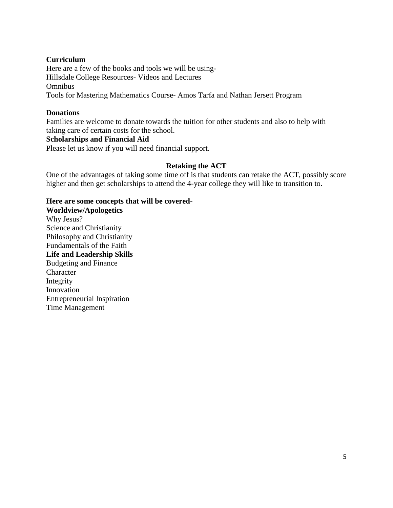## **Curriculum**

Here are a few of the books and tools we will be using-Hillsdale College Resources- Videos and Lectures Omnibus Tools for Mastering Mathematics Course- Amos Tarfa and Nathan Jersett Program

# **Donations**

Families are welcome to donate towards the tuition for other students and also to help with taking care of certain costs for the school.

# **Scholarships and Financial Aid**

Please let us know if you will need financial support.

# **Retaking the ACT**

One of the advantages of taking some time off is that students can retake the ACT, possibly score higher and then get scholarships to attend the 4-year college they will like to transition to.

# **Here are some concepts that will be covered-**

**Worldview/Apologetics** Why Jesus? Science and Christianity Philosophy and Christianity Fundamentals of the Faith **Life and Leadership Skills** Budgeting and Finance Character Integrity Innovation Entrepreneurial Inspiration Time Management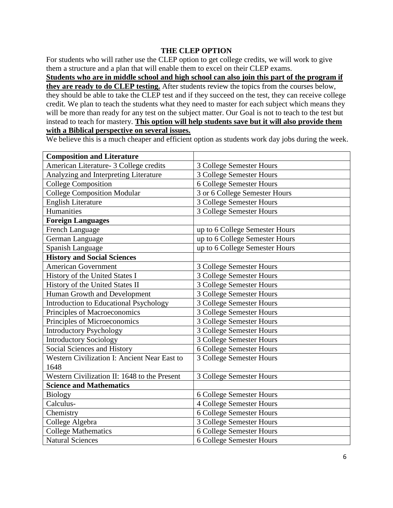# **THE CLEP OPTION**

For students who will rather use the CLEP option to get college credits, we will work to give them a structure and a plan that will enable them to excel on their CLEP exams.

**Students who are in middle school and high school can also join this part of the program if they are ready to do CLEP testing.** After students review the topics from the courses below, they should be able to take the CLEP test and if they succeed on the test, they can receive college credit. We plan to teach the students what they need to master for each subject which means they will be more than ready for any test on the subject matter. Our Goal is not to teach to the test but instead to teach for mastery. **This option will help students save but it will also provide them with a Biblical perspective on several issues.**

We believe this is a much cheaper and efficient option as students work day jobs during the week.

| <b>Composition and Literature</b>             |                                |  |
|-----------------------------------------------|--------------------------------|--|
| American Literature- 3 College credits        | 3 College Semester Hours       |  |
| Analyzing and Interpreting Literature         | 3 College Semester Hours       |  |
| <b>College Composition</b>                    | 6 College Semester Hours       |  |
| <b>College Composition Modular</b>            | 3 or 6 College Semester Hours  |  |
| <b>English Literature</b>                     | 3 College Semester Hours       |  |
| Humanities                                    | 3 College Semester Hours       |  |
| <b>Foreign Languages</b>                      |                                |  |
| French Language                               | up to 6 College Semester Hours |  |
| German Language                               | up to 6 College Semester Hours |  |
| Spanish Language                              | up to 6 College Semester Hours |  |
| <b>History and Social Sciences</b>            |                                |  |
| <b>American Government</b>                    | 3 College Semester Hours       |  |
| History of the United States I                | 3 College Semester Hours       |  |
| History of the United States II               | 3 College Semester Hours       |  |
| Human Growth and Development                  | 3 College Semester Hours       |  |
| <b>Introduction to Educational Psychology</b> | 3 College Semester Hours       |  |
| Principles of Macroeconomics                  | 3 College Semester Hours       |  |
| Principles of Microeconomics                  | 3 College Semester Hours       |  |
| <b>Introductory Psychology</b>                | 3 College Semester Hours       |  |
| <b>Introductory Sociology</b>                 | 3 College Semester Hours       |  |
| Social Sciences and History                   | 6 College Semester Hours       |  |
| Western Civilization I: Ancient Near East to  | 3 College Semester Hours       |  |
| 1648                                          |                                |  |
| Western Civilization II: 1648 to the Present  | 3 College Semester Hours       |  |
| <b>Science and Mathematics</b>                |                                |  |
| <b>Biology</b>                                | 6 College Semester Hours       |  |
| Calculus-                                     | 4 College Semester Hours       |  |
| Chemistry                                     | 6 College Semester Hours       |  |
| College Algebra                               | 3 College Semester Hours       |  |
| <b>College Mathematics</b>                    | 6 College Semester Hours       |  |
| <b>Natural Sciences</b>                       | 6 College Semester Hours       |  |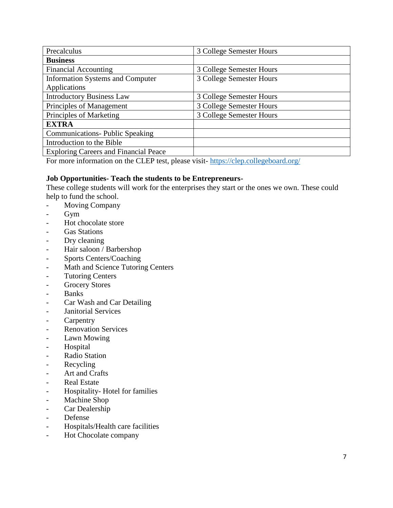| Precalculus                                  | 3 College Semester Hours |
|----------------------------------------------|--------------------------|
| <b>Business</b>                              |                          |
| <b>Financial Accounting</b>                  | 3 College Semester Hours |
| <b>Information Systems and Computer</b>      | 3 College Semester Hours |
| Applications                                 |                          |
| <b>Introductory Business Law</b>             | 3 College Semester Hours |
| Principles of Management                     | 3 College Semester Hours |
| Principles of Marketing                      | 3 College Semester Hours |
| <b>EXTRA</b>                                 |                          |
| <b>Communications- Public Speaking</b>       |                          |
| Introduction to the Bible                    |                          |
| <b>Exploring Careers and Financial Peace</b> |                          |

For more information on the CLEP test, please visit- <https://clep.collegeboard.org/>

### **Job Opportunities- Teach the students to be Entrepreneurs-**

These college students will work for the enterprises they start or the ones we own. These could help to fund the school.

- Moving Company
- Gym
- Hot chocolate store
- Gas Stations
- Dry cleaning
- Hair saloon / Barbershop
- Sports Centers/Coaching
- Math and Science Tutoring Centers
- Tutoring Centers
- Grocery Stores
- Banks
- Car Wash and Car Detailing
- Janitorial Services
- Carpentry
- Renovation Services
- Lawn Mowing
- Hospital
- Radio Station
- Recycling
- Art and Crafts
- Real Estate
- Hospitality- Hotel for families
- Machine Shop
- Car Dealership
- Defense
- Hospitals/Health care facilities
- Hot Chocolate company